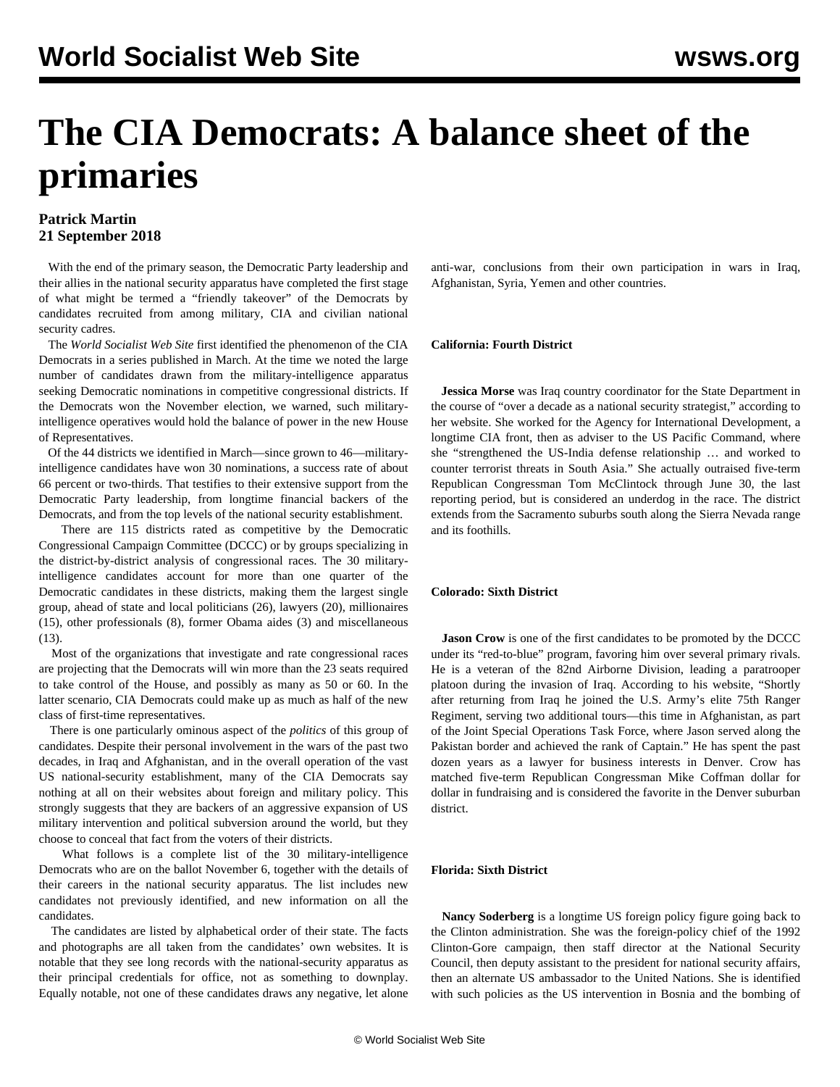# **The CIA Democrats: A balance sheet of the primaries**

# **Patrick Martin 21 September 2018**

 With the end of the primary season, the Democratic Party leadership and their allies in the national security apparatus have completed the first stage of what might be termed a "friendly takeover" of the Democrats by candidates recruited from among military, CIA and civilian national security cadres.

 The *World Socialist Web Site* first identified the phenomenon of the CIA Democrats in a [series](/en/articles/2018/03/07/dems-m07.html) published in March. At the time we noted the large number of candidates drawn from the military-intelligence apparatus seeking Democratic nominations in competitive congressional districts. If the Democrats won the November election, we warned, such militaryintelligence operatives would hold the balance of power in the new House of Representatives.

 Of the 44 districts we identified in March—since grown to 46—militaryintelligence candidates have won 30 nominations, a success rate of about 66 percent or two-thirds. That testifies to their extensive support from the Democratic Party leadership, from longtime financial backers of the Democrats, and from the top levels of the national security establishment.

 There are 115 districts rated as competitive by the Democratic Congressional Campaign Committee (DCCC) or by groups specializing in the district-by-district analysis of congressional races. The 30 militaryintelligence candidates account for more than one quarter of the Democratic candidates in these districts, making them the largest single group, ahead of state and local politicians (26), lawyers (20), millionaires (15), other professionals (8), former Obama aides (3) and miscellaneous  $(13)$ .

 Most of the organizations that investigate and rate congressional races are projecting that the Democrats will win more than the 23 seats required to take control of the House, and possibly as many as 50 or 60. In the latter scenario, CIA Democrats could make up as much as half of the new class of first-time representatives.

 There is one particularly ominous aspect of the *politics* of this group of candidates. Despite their personal involvement in the wars of the past two decades, in Iraq and Afghanistan, and in the overall operation of the vast US national-security establishment, many of the CIA Democrats say nothing at all on their websites about foreign and military policy. This strongly suggests that they are backers of an aggressive expansion of US military intervention and political subversion around the world, but they choose to conceal that fact from the voters of their districts.

 What follows is a complete list of the 30 military-intelligence Democrats who are on the ballot November 6, together with the details of their careers in the national security apparatus. The list includes new candidates not previously identified, and new information on all the candidates.

 The candidates are listed by alphabetical order of their state. The facts and photographs are all taken from the candidates' own websites. It is notable that they see long records with the national-security apparatus as their principal credentials for office, not as something to downplay. Equally notable, not one of these candidates draws any negative, let alone

anti-war, conclusions from their own participation in wars in Iraq, Afghanistan, Syria, Yemen and other countries.

# **California: Fourth District**

 **Jessica Morse** was Iraq country coordinator for the State Department in the course of "over a decade as a national security strategist," according to her website. She worked for the Agency for International Development, a longtime CIA front, then as adviser to the US Pacific Command, where she "strengthened the US-India defense relationship … and worked to counter terrorist threats in South Asia." She actually outraised five-term Republican Congressman Tom McClintock through June 30, the last reporting period, but is considered an underdog in the race. The district extends from the Sacramento suburbs south along the Sierra Nevada range and its foothills.

# **Colorado: Sixth District**

**Jason Crow** is one of the first candidates to be promoted by the DCCC under its "red-to-blue" program, favoring him over several primary rivals. He is a veteran of the 82nd Airborne Division, leading a paratrooper platoon during the invasion of Iraq. According to his website, "Shortly after returning from Iraq he joined the U.S. Army's elite 75th Ranger Regiment, serving two additional tours—this time in Afghanistan, as part of the Joint Special Operations Task Force, where Jason served along the Pakistan border and achieved the rank of Captain." He has spent the past dozen years as a lawyer for business interests in Denver. Crow has matched five-term Republican Congressman Mike Coffman dollar for dollar in fundraising and is considered the favorite in the Denver suburban district.

# **Florida: Sixth District**

 **Nancy Soderberg** is a longtime US foreign policy figure going back to the Clinton administration. She was the foreign-policy chief of the 1992 Clinton-Gore campaign, then staff director at the National Security Council, then deputy assistant to the president for national security affairs, then an alternate US ambassador to the United Nations. She is identified with such policies as the US intervention in Bosnia and the bombing of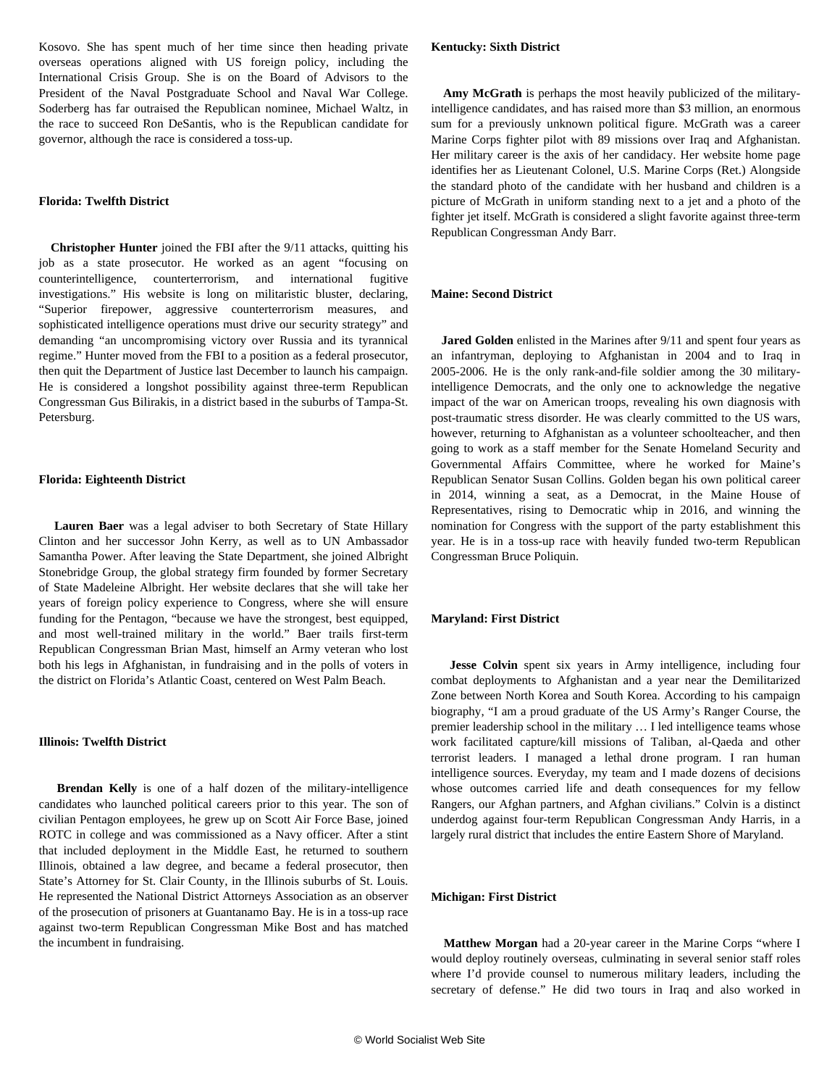Kosovo. She has spent much of her time since then heading private overseas operations aligned with US foreign policy, including the International Crisis Group. She is on the Board of Advisors to the President of the Naval Postgraduate School and Naval War College. Soderberg has far outraised the Republican nominee, Michael Waltz, in the race to succeed Ron DeSantis, who is the Republican candidate for governor, although the race is considered a toss-up.

# **Florida: Twelfth District**

 **Christopher Hunter** joined the FBI after the 9/11 attacks, quitting his job as a state prosecutor. He worked as an agent "focusing on counterintelligence, counterterrorism, and international fugitive investigations." His website is long on militaristic bluster, declaring, "Superior firepower, aggressive counterterrorism measures, and sophisticated intelligence operations must drive our security strategy" and demanding "an uncompromising victory over Russia and its tyrannical regime." Hunter moved from the FBI to a position as a federal prosecutor, then quit the Department of Justice last December to launch his campaign. He is considered a longshot possibility against three-term Republican Congressman Gus Bilirakis, in a district based in the suburbs of Tampa-St. Petersburg.

#### **Florida: Eighteenth District**

 **Lauren Baer** was a legal adviser to both Secretary of State Hillary Clinton and her successor John Kerry, as well as to UN Ambassador Samantha Power. After leaving the State Department, she joined Albright Stonebridge Group, the global strategy firm founded by former Secretary of State Madeleine Albright. Her website declares that she will take her years of foreign policy experience to Congress, where she will ensure funding for the Pentagon, "because we have the strongest, best equipped, and most well-trained military in the world." Baer trails first-term Republican Congressman Brian Mast, himself an Army veteran who lost both his legs in Afghanistan, in fundraising and in the polls of voters in the district on Florida's Atlantic Coast, centered on West Palm Beach.

#### **Illinois: Twelfth District**

 **Brendan Kelly** is one of a half dozen of the military-intelligence candidates who launched political careers prior to this year. The son of civilian Pentagon employees, he grew up on Scott Air Force Base, joined ROTC in college and was commissioned as a Navy officer. After a stint that included deployment in the Middle East, he returned to southern Illinois, obtained a law degree, and became a federal prosecutor, then State's Attorney for St. Clair County, in the Illinois suburbs of St. Louis. He represented the National District Attorneys Association as an observer of the prosecution of prisoners at Guantanamo Bay. He is in a toss-up race against two-term Republican Congressman Mike Bost and has matched the incumbent in fundraising.

 **Amy McGrath** is perhaps the most heavily publicized of the militaryintelligence candidates, and has raised more than \$3 million, an enormous sum for a previously unknown political figure. McGrath was a career Marine Corps fighter pilot with 89 missions over Iraq and Afghanistan. Her military career is the axis of her candidacy. Her website home page identifies her as Lieutenant Colonel, U.S. Marine Corps (Ret.) Alongside the standard photo of the candidate with her husband and children is a picture of McGrath in uniform standing next to a jet and a photo of the fighter jet itself. McGrath is considered a slight favorite against three-term Republican Congressman Andy Barr.

## **Maine: Second District**

**Jared Golden** enlisted in the Marines after 9/11 and spent four years as an infantryman, deploying to Afghanistan in 2004 and to Iraq in 2005-2006. He is the only rank-and-file soldier among the 30 militaryintelligence Democrats, and the only one to acknowledge the negative impact of the war on American troops, revealing his own diagnosis with post-traumatic stress disorder. He was clearly committed to the US wars, however, returning to Afghanistan as a volunteer schoolteacher, and then going to work as a staff member for the Senate Homeland Security and Governmental Affairs Committee, where he worked for Maine's Republican Senator Susan Collins. Golden began his own political career in 2014, winning a seat, as a Democrat, in the Maine House of Representatives, rising to Democratic whip in 2016, and winning the nomination for Congress with the support of the party establishment this year. He is in a toss-up race with heavily funded two-term Republican Congressman Bruce Poliquin.

#### **Maryland: First District**

 **Jesse Colvin** spent six years in Army intelligence, including four combat deployments to Afghanistan and a year near the Demilitarized Zone between North Korea and South Korea. According to his campaign biography, "I am a proud graduate of the US Army's Ranger Course, the premier leadership school in the military … I led intelligence teams whose work facilitated capture/kill missions of Taliban, al-Qaeda and other terrorist leaders. I managed a lethal drone program. I ran human intelligence sources. Everyday, my team and I made dozens of decisions whose outcomes carried life and death consequences for my fellow Rangers, our Afghan partners, and Afghan civilians." Colvin is a distinct underdog against four-term Republican Congressman Andy Harris, in a largely rural district that includes the entire Eastern Shore of Maryland.

# **Michigan: First District**

 **Matthew Morgan** had a 20-year career in the Marine Corps "where I would deploy routinely overseas, culminating in several senior staff roles where I'd provide counsel to numerous military leaders, including the secretary of defense." He did two tours in Iraq and also worked in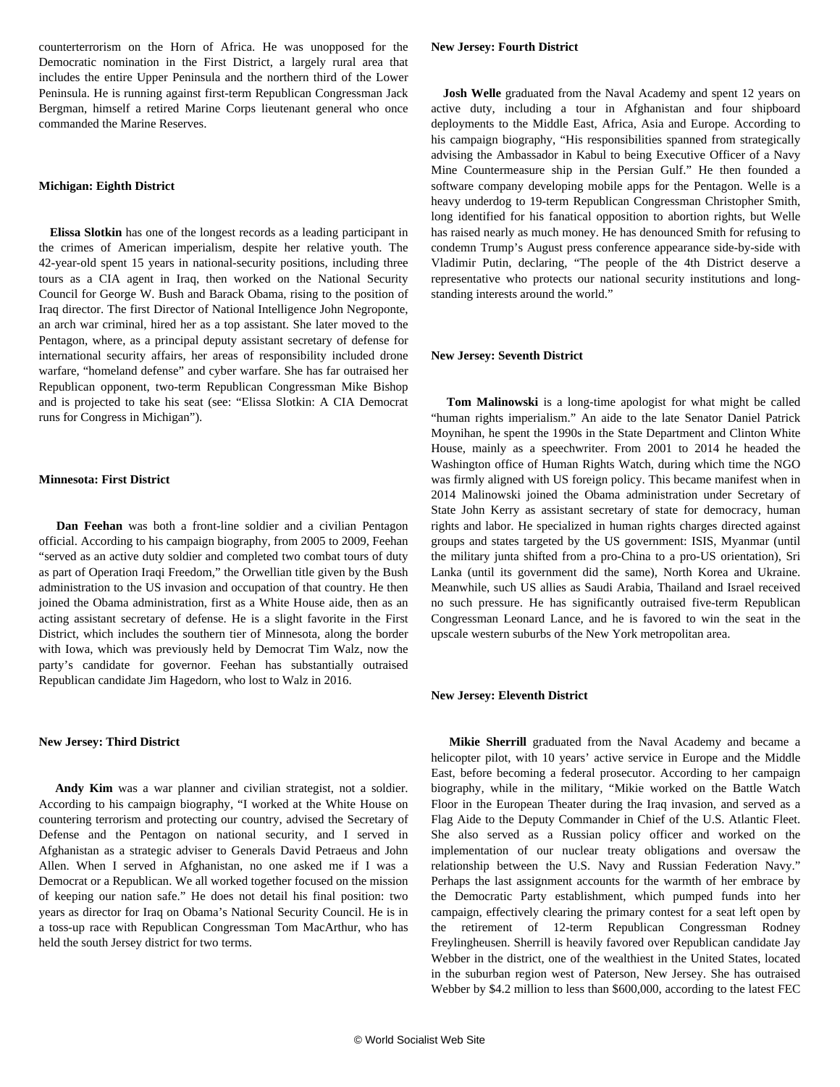counterterrorism on the Horn of Africa. He was unopposed for the Democratic nomination in the First District, a largely rural area that includes the entire Upper Peninsula and the northern third of the Lower Peninsula. He is running against first-term Republican Congressman Jack Bergman, himself a retired Marine Corps lieutenant general who once commanded the Marine Reserves.

#### **Michigan: Eighth District**

 **Elissa Slotkin** has one of the longest records as a leading participant in the crimes of American imperialism, despite her relative youth. The 42-year-old spent 15 years in national-security positions, including three tours as a CIA agent in Iraq, then worked on the National Security Council for George W. Bush and Barack Obama, rising to the position of Iraq director. The first Director of National Intelligence John Negroponte, an arch war criminal, hired her as a top assistant. She later moved to the Pentagon, where, as a principal deputy assistant secretary of defense for international security affairs, her areas of responsibility included drone warfare, "homeland defense" and cyber warfare. She has far outraised her Republican opponent, two-term Republican Congressman Mike Bishop and is projected to take his seat (see: ["Elissa Slotkin: A CIA Democrat](/en/articles/2018/09/01/slot-s01.html) [runs for Congress in Michigan](/en/articles/2018/09/01/slot-s01.html)").

#### **Minnesota: First District**

 **Dan Feehan** was both a front-line soldier and a civilian Pentagon official. According to his campaign biography, from 2005 to 2009, Feehan "served as an active duty soldier and completed two combat tours of duty as part of Operation Iraqi Freedom," the Orwellian title given by the Bush administration to the US invasion and occupation of that country. He then joined the Obama administration, first as a White House aide, then as an acting assistant secretary of defense. He is a slight favorite in the First District, which includes the southern tier of Minnesota, along the border with Iowa, which was previously held by Democrat Tim Walz, now the party's candidate for governor. Feehan has substantially outraised Republican candidate Jim Hagedorn, who lost to Walz in 2016.

#### **New Jersey: Third District**

 **Andy Kim** was a war planner and civilian strategist, not a soldier. According to his campaign biography, "I worked at the White House on countering terrorism and protecting our country, advised the Secretary of Defense and the Pentagon on national security, and I served in Afghanistan as a strategic adviser to Generals David Petraeus and John Allen. When I served in Afghanistan, no one asked me if I was a Democrat or a Republican. We all worked together focused on the mission of keeping our nation safe." He does not detail his final position: two years as director for Iraq on Obama's National Security Council. He is in a toss-up race with Republican Congressman Tom MacArthur, who has held the south Jersey district for two terms.

**Josh Welle** graduated from the Naval Academy and spent 12 years on active duty, including a tour in Afghanistan and four shipboard deployments to the Middle East, Africa, Asia and Europe. According to his campaign biography, "His responsibilities spanned from strategically advising the Ambassador in Kabul to being Executive Officer of a Navy Mine Countermeasure ship in the Persian Gulf." He then founded a software company developing mobile apps for the Pentagon. Welle is a heavy underdog to 19-term Republican Congressman Christopher Smith, long identified for his fanatical opposition to abortion rights, but Welle has raised nearly as much money. He has denounced Smith for refusing to condemn Trump's August press conference appearance side-by-side with Vladimir Putin, declaring, "The people of the 4th District deserve a representative who protects our national security institutions and longstanding interests around the world."

#### **New Jersey: Seventh District**

 **Tom Malinowski** is a long-time apologist for what might be called "human rights imperialism." An aide to the late Senator Daniel Patrick Moynihan, he spent the 1990s in the State Department and Clinton White House, mainly as a speechwriter. From 2001 to 2014 he headed the Washington office of Human Rights Watch, during which time the NGO was firmly aligned with US foreign policy. This became manifest when in 2014 Malinowski joined the Obama administration under Secretary of State John Kerry as assistant secretary of state for democracy, human rights and labor. He specialized in human rights charges directed against groups and states targeted by the US government: ISIS, Myanmar (until the military junta shifted from a pro-China to a pro-US orientation), Sri Lanka (until its government did the same), North Korea and Ukraine. Meanwhile, such US allies as Saudi Arabia, Thailand and Israel received no such pressure. He has significantly outraised five-term Republican Congressman Leonard Lance, and he is favored to win the seat in the upscale western suburbs of the New York metropolitan area.

#### **New Jersey: Eleventh District**

 **Mikie Sherrill** graduated from the Naval Academy and became a helicopter pilot, with 10 years' active service in Europe and the Middle East, before becoming a federal prosecutor. According to her campaign biography, while in the military, "Mikie worked on the Battle Watch Floor in the European Theater during the Iraq invasion, and served as a Flag Aide to the Deputy Commander in Chief of the U.S. Atlantic Fleet. She also served as a Russian policy officer and worked on the implementation of our nuclear treaty obligations and oversaw the relationship between the U.S. Navy and Russian Federation Navy." Perhaps the last assignment accounts for the warmth of her embrace by the Democratic Party establishment, which pumped funds into her campaign, effectively clearing the primary contest for a seat left open by the retirement of 12-term Republican Congressman Rodney Freylingheusen. Sherrill is heavily favored over Republican candidate Jay Webber in the district, one of the wealthiest in the United States, located in the suburban region west of Paterson, New Jersey. She has outraised Webber by \$4.2 million to less than \$600,000, according to the latest FEC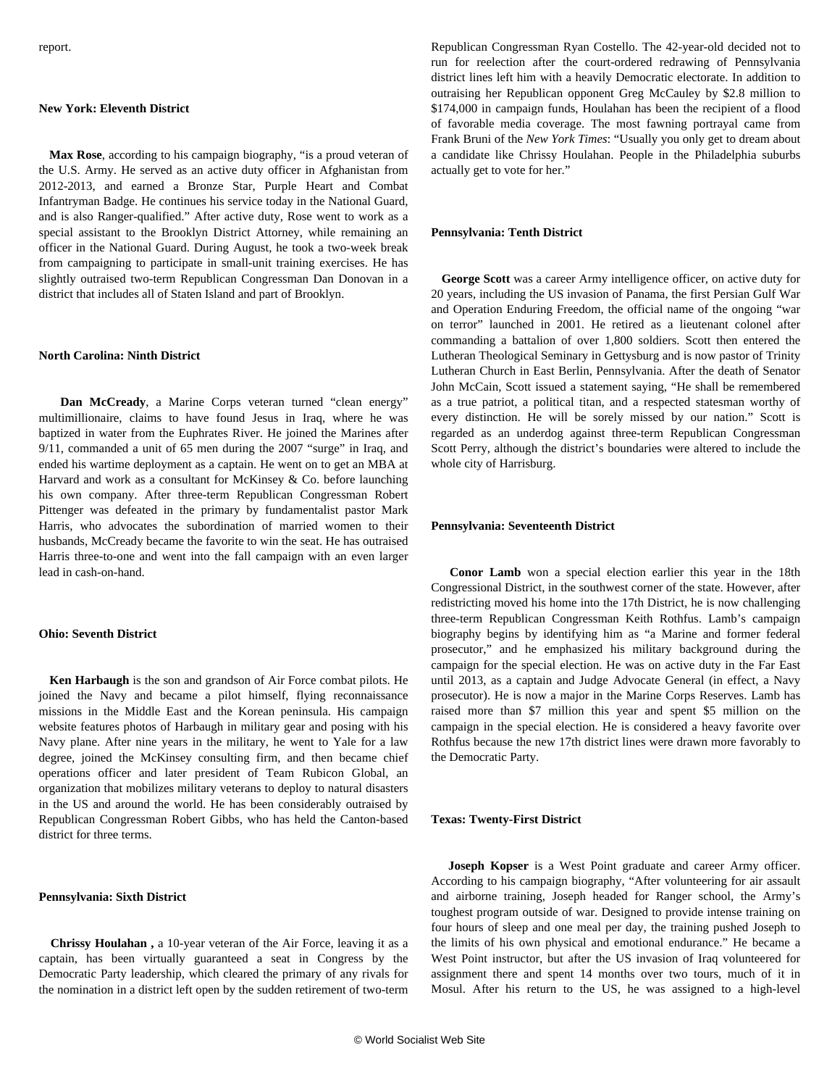#### **New York: Eleventh District**

 **Max Rose**, according to his campaign biography, "is a proud veteran of the U.S. Army. He served as an active duty officer in Afghanistan from 2012-2013, and earned a Bronze Star, Purple Heart and Combat Infantryman Badge. He continues his service today in the National Guard, and is also Ranger-qualified." After active duty, Rose went to work as a special assistant to the Brooklyn District Attorney, while remaining an officer in the National Guard. During August, he took a two-week break from campaigning to participate in small-unit training exercises. He has slightly outraised two-term Republican Congressman Dan Donovan in a district that includes all of Staten Island and part of Brooklyn.

# **North Carolina: Ninth District**

 **Dan McCready**, a Marine Corps veteran turned "clean energy" multimillionaire, claims to have found Jesus in Iraq, where he was baptized in water from the Euphrates River. He joined the Marines after 9/11, commanded a unit of 65 men during the 2007 "surge" in Iraq, and ended his wartime deployment as a captain. He went on to get an MBA at Harvard and work as a consultant for McKinsey & Co. before launching his own company. After three-term Republican Congressman Robert Pittenger was defeated in the primary by fundamentalist pastor Mark Harris, who advocates the subordination of married women to their husbands, McCready became the favorite to win the seat. He has outraised Harris three-to-one and went into the fall campaign with an even larger lead in cash-on-hand.

# **Ohio: Seventh District**

 **Ken Harbaugh** is the son and grandson of Air Force combat pilots. He joined the Navy and became a pilot himself, flying reconnaissance missions in the Middle East and the Korean peninsula. His campaign website features photos of Harbaugh in military gear and posing with his Navy plane. After nine years in the military, he went to Yale for a law degree, joined the McKinsey consulting firm, and then became chief operations officer and later president of Team Rubicon Global, an organization that mobilizes military veterans to deploy to natural disasters in the US and around the world. He has been considerably outraised by Republican Congressman Robert Gibbs, who has held the Canton-based district for three terms.

#### **Pennsylvania: Sixth District**

 **Chrissy Houlahan ,** a 10-year veteran of the Air Force, leaving it as a captain, has been virtually guaranteed a seat in Congress by the Democratic Party leadership, which cleared the primary of any rivals for the nomination in a district left open by the sudden retirement of two-term Republican Congressman Ryan Costello. The 42-year-old decided not to run for reelection after the court-ordered redrawing of Pennsylvania district lines left him with a heavily Democratic electorate. In addition to outraising her Republican opponent Greg McCauley by \$2.8 million to \$174,000 in campaign funds, Houlahan has been the recipient of a flood of favorable media coverage. The most fawning portrayal came from Frank Bruni of the *New York Times*: "Usually you only get to dream about a candidate like Chrissy Houlahan. People in the Philadelphia suburbs actually get to vote for her."

## **Pennsylvania: Tenth District**

 **George Scott** was a career Army intelligence officer, on active duty for 20 years, including the US invasion of Panama, the first Persian Gulf War and Operation Enduring Freedom, the official name of the ongoing "war on terror" launched in 2001. He retired as a lieutenant colonel after commanding a battalion of over 1,800 soldiers. Scott then entered the Lutheran Theological Seminary in Gettysburg and is now pastor of Trinity Lutheran Church in East Berlin, Pennsylvania. After the death of Senator John McCain, Scott issued a statement saying, "He shall be remembered as a true patriot, a political titan, and a respected statesman worthy of every distinction. He will be sorely missed by our nation." Scott is regarded as an underdog against three-term Republican Congressman Scott Perry, although the district's boundaries were altered to include the whole city of Harrisburg.

# **Pennsylvania: Seventeenth District**

 **Conor Lamb** won a special election earlier this year in the 18th Congressional District, in the southwest corner of the state. However, after redistricting moved his home into the 17th District, he is now challenging three-term Republican Congressman Keith Rothfus. Lamb's campaign biography begins by identifying him as "a Marine and former federal prosecutor," and he emphasized his military background during the campaign for the special election. He was on active duty in the Far East until 2013, as a captain and Judge Advocate General (in effect, a Navy prosecutor). He is now a major in the Marine Corps Reserves. Lamb has raised more than \$7 million this year and spent \$5 million on the campaign in the special election. He is considered a heavy favorite over Rothfus because the new 17th district lines were drawn more favorably to the Democratic Party.

#### **Texas: Twenty-First District**

 **Joseph Kopser** is a West Point graduate and career Army officer. According to his campaign biography, "After volunteering for air assault and airborne training, Joseph headed for Ranger school, the Army's toughest program outside of war. Designed to provide intense training on four hours of sleep and one meal per day, the training pushed Joseph to the limits of his own physical and emotional endurance." He became a West Point instructor, but after the US invasion of Iraq volunteered for assignment there and spent 14 months over two tours, much of it in Mosul. After his return to the US, he was assigned to a high-level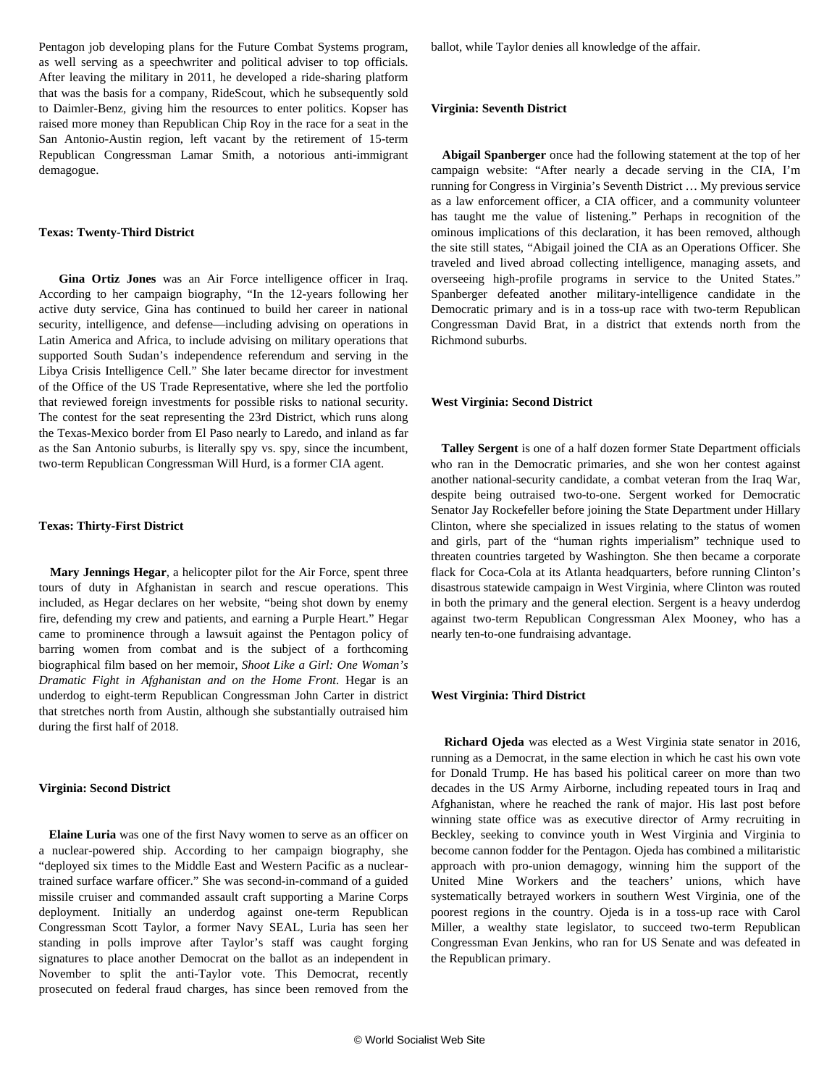Pentagon job developing plans for the Future Combat Systems program, as well serving as a speechwriter and political adviser to top officials. After leaving the military in 2011, he developed a ride-sharing platform that was the basis for a company, RideScout, which he subsequently sold to Daimler-Benz, giving him the resources to enter politics. Kopser has raised more money than Republican Chip Roy in the race for a seat in the San Antonio-Austin region, left vacant by the retirement of 15-term Republican Congressman Lamar Smith, a notorious anti-immigrant demagogue.

# **Texas: Twenty-Third District**

 **Gina Ortiz Jones** was an Air Force intelligence officer in Iraq. According to her campaign biography, "In the 12-years following her active duty service, Gina has continued to build her career in national security, intelligence, and defense—including advising on operations in Latin America and Africa, to include advising on military operations that supported South Sudan's independence referendum and serving in the Libya Crisis Intelligence Cell." She later became director for investment of the Office of the US Trade Representative, where she led the portfolio that reviewed foreign investments for possible risks to national security. The contest for the seat representing the 23rd District, which runs along the Texas-Mexico border from El Paso nearly to Laredo, and inland as far as the San Antonio suburbs, is literally spy vs. spy, since the incumbent, two-term Republican Congressman Will Hurd, is a former CIA agent.

# **Texas: Thirty-First District**

 **Mary Jennings Hegar**, a helicopter pilot for the Air Force, spent three tours of duty in Afghanistan in search and rescue operations. This included, as Hegar declares on her website, "being shot down by enemy fire, defending my crew and patients, and earning a Purple Heart." Hegar came to prominence through a lawsuit against the Pentagon policy of barring women from combat and is the subject of a forthcoming biographical film based on her memoir, *Shoot Like a Girl: One Woman's Dramatic Fight in Afghanistan and on the Home Front*. Hegar is an underdog to eight-term Republican Congressman John Carter in district that stretches north from Austin, although she substantially outraised him during the first half of 2018.

#### **Virginia: Second District**

 **Elaine Luria** was one of the first Navy women to serve as an officer on a nuclear-powered ship. According to her campaign biography, she "deployed six times to the Middle East and Western Pacific as a nucleartrained surface warfare officer." She was second-in-command of a guided missile cruiser and commanded assault craft supporting a Marine Corps deployment. Initially an underdog against one-term Republican Congressman Scott Taylor, a former Navy SEAL, Luria has seen her standing in polls improve after Taylor's staff was caught forging signatures to place another Democrat on the ballot as an independent in November to split the anti-Taylor vote. This Democrat, recently prosecuted on federal fraud charges, has since been removed from the ballot, while Taylor denies all knowledge of the affair.

#### **Virginia: Seventh District**

 **Abigail Spanberger** once had the following statement at the top of her campaign website: "After nearly a decade serving in the CIA, I'm running for Congress in Virginia's Seventh District … My previous service as a law enforcement officer, a CIA officer, and a community volunteer has taught me the value of listening." Perhaps in recognition of the ominous implications of this declaration, it has been removed, although the site still states, "Abigail joined the CIA as an Operations Officer. She traveled and lived abroad collecting intelligence, managing assets, and overseeing high-profile programs in service to the United States." Spanberger defeated another military-intelligence candidate in the Democratic primary and is in a toss-up race with two-term Republican Congressman David Brat, in a district that extends north from the Richmond suburbs.

#### **West Virginia: Second District**

 **Talley Sergent** is one of a half dozen former State Department officials who ran in the Democratic primaries, and she won her contest against another national-security candidate, a combat veteran from the Iraq War, despite being outraised two-to-one. Sergent worked for Democratic Senator Jay Rockefeller before joining the State Department under Hillary Clinton, where she specialized in issues relating to the status of women and girls, part of the "human rights imperialism" technique used to threaten countries targeted by Washington. She then became a corporate flack for Coca-Cola at its Atlanta headquarters, before running Clinton's disastrous statewide campaign in West Virginia, where Clinton was routed in both the primary and the general election. Sergent is a heavy underdog against two-term Republican Congressman Alex Mooney, who has a nearly ten-to-one fundraising advantage.

# **West Virginia: Third District**

 **Richard Ojeda** was elected as a West Virginia state senator in 2016, running as a Democrat, in the same election in which he cast his own vote for Donald Trump. He has based his political career on more than two decades in the US Army Airborne, including repeated tours in Iraq and Afghanistan, where he reached the rank of major. His last post before winning state office was as executive director of Army recruiting in Beckley, seeking to convince youth in West Virginia and Virginia to become cannon fodder for the Pentagon. Ojeda has combined a militaristic approach with pro-union demagogy, winning him the support of the United Mine Workers and the teachers' unions, which have systematically betrayed workers in southern West Virginia, one of the poorest regions in the country. Ojeda is in a toss-up race with Carol Miller, a wealthy state legislator, to succeed two-term Republican Congressman Evan Jenkins, who ran for US Senate and was defeated in the Republican primary.